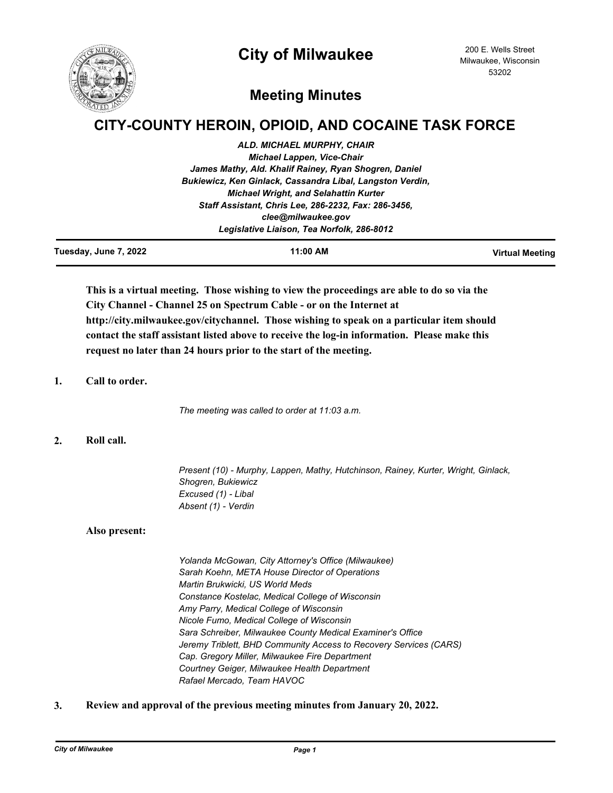# **City of Milwaukee**



# **Meeting Minutes**

# **CITY-COUNTY HEROIN, OPIOID, AND COCAINE TASK FORCE**

| <b>ALD. MICHAEL MURPHY, CHAIR</b>                         |
|-----------------------------------------------------------|
| <b>Michael Lappen, Vice-Chair</b>                         |
| James Mathy, Ald. Khalif Rainey, Ryan Shogren, Daniel     |
| Bukiewicz, Ken Ginlack, Cassandra Libal, Langston Verdin, |
| <b>Michael Wright, and Selahattin Kurter</b>              |
| Staff Assistant, Chris Lee, 286-2232, Fax: 286-3456,      |
| clee@milwaukee.gov                                        |
| Legislative Liaison, Tea Norfolk, 286-8012                |
|                                                           |

| Tuesday, June 7, 2022 | 11:00 AM | <b>Virtual Meeting</b> |
|-----------------------|----------|------------------------|
|                       |          |                        |

**This is a virtual meeting. Those wishing to view the proceedings are able to do so via the City Channel - Channel 25 on Spectrum Cable - or on the Internet at http://city.milwaukee.gov/citychannel. Those wishing to speak on a particular item should contact the staff assistant listed above to receive the log-in information. Please make this request no later than 24 hours prior to the start of the meeting.**

## **1. Call to order.**

*The meeting was called to order at 11:03 a.m.*

# **2. Roll call.**

*Present (10) - Murphy, Lappen, Mathy, Hutchinson, Rainey, Kurter, Wright, Ginlack, Shogren, Bukiewicz Excused (1) - Libal Absent (1) - Verdin*

## **Also present:**

*Yolanda McGowan, City Attorney's Office (Milwaukee) Sarah Koehn, META House Director of Operations Martin Brukwicki, US World Meds Constance Kostelac, Medical College of Wisconsin Amy Parry, Medical College of Wisconsin Nicole Fumo, Medical College of Wisconsin Sara Schreiber, Milwaukee County Medical Examiner's Office Jeremy Triblett, BHD Community Access to Recovery Services (CARS) Cap. Gregory Miller, Milwaukee Fire Department Courtney Geiger, Milwaukee Health Department Rafael Mercado, Team HAVOC*

**3. Review and approval of the previous meeting minutes from January 20, 2022.**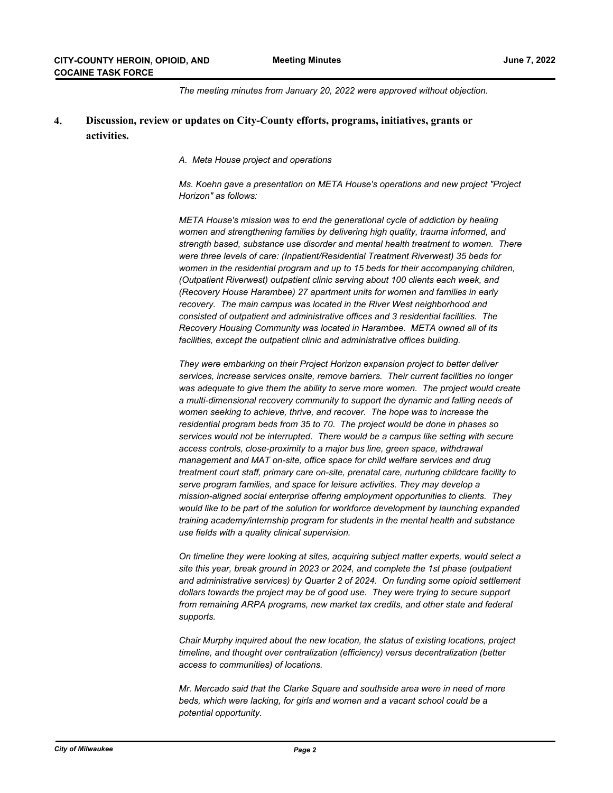*The meeting minutes from January 20, 2022 were approved without objection.*

#### **Discussion, review or updates on City-County efforts, programs, initiatives, grants or activities. 4.**

#### *A. Meta House project and operations*

*Ms. Koehn gave a presentation on META House's operations and new project "Project Horizon" as follows:*

*META House's mission was to end the generational cycle of addiction by healing women and strengthening families by delivering high quality, trauma informed, and strength based, substance use disorder and mental health treatment to women. There were three levels of care: (Inpatient/Residential Treatment Riverwest) 35 beds for women in the residential program and up to 15 beds for their accompanying children, (Outpatient Riverwest) outpatient clinic serving about 100 clients each week, and (Recovery House Harambee) 27 apartment units for women and families in early recovery. The main campus was located in the River West neighborhood and consisted of outpatient and administrative offices and 3 residential facilities. The Recovery Housing Community was located in Harambee. META owned all of its facilities, except the outpatient clinic and administrative offices building.*

*They were embarking on their Project Horizon expansion project to better deliver services, increase services onsite, remove barriers. Their current facilities no longer*  was adequate to give them the ability to serve more women. The project would create *a multi-dimensional recovery community to support the dynamic and falling needs of women seeking to achieve, thrive, and recover. The hope was to increase the residential program beds from 35 to 70. The project would be done in phases so services would not be interrupted. There would be a campus like setting with secure access controls, close-proximity to a major bus line, green space, withdrawal management and MAT on-site, office space for child welfare services and drug treatment court staff, primary care on-site, prenatal care, nurturing childcare facility to serve program families, and space for leisure activities. They may develop a mission-aligned social enterprise offering employment opportunities to clients. They would like to be part of the solution for workforce development by launching expanded training academy/internship program for students in the mental health and substance use fields with a quality clinical supervision.*

*On timeline they were looking at sites, acquiring subject matter experts, would select a site this year, break ground in 2023 or 2024, and complete the 1st phase (outpatient and administrative services) by Quarter 2 of 2024. On funding some opioid settlement dollars towards the project may be of good use. They were trying to secure support from remaining ARPA programs, new market tax credits, and other state and federal supports.*

*Chair Murphy inquired about the new location, the status of existing locations, project timeline, and thought over centralization (efficiency) versus decentralization (better access to communities) of locations.*

*Mr. Mercado said that the Clarke Square and southside area were in need of more beds, which were lacking, for girls and women and a vacant school could be a potential opportunity.*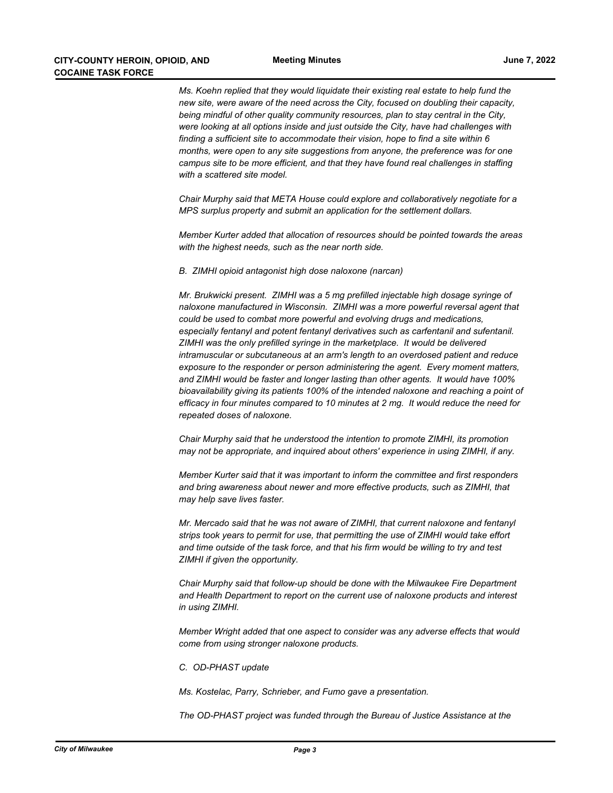*Ms. Koehn replied that they would liquidate their existing real estate to help fund the new site, were aware of the need across the City, focused on doubling their capacity, being mindful of other quality community resources, plan to stay central in the City, were looking at all options inside and just outside the City, have had challenges with finding a sufficient site to accommodate their vision, hope to find a site within 6 months, were open to any site suggestions from anyone, the preference was for one campus site to be more efficient, and that they have found real challenges in staffing with a scattered site model.*

*Chair Murphy said that META House could explore and collaboratively negotiate for a MPS surplus property and submit an application for the settlement dollars.*

*Member Kurter added that allocation of resources should be pointed towards the areas with the highest needs, such as the near north side.*

*B. ZIMHI opioid antagonist high dose naloxone (narcan)* 

*Mr. Brukwicki present. ZIMHI was a 5 mg prefilled injectable high dosage syringe of naloxone manufactured in Wisconsin. ZIMHI was a more powerful reversal agent that could be used to combat more powerful and evolving drugs and medications, especially fentanyl and potent fentanyl derivatives such as carfentanil and sufentanil. ZIMHI was the only prefilled syringe in the marketplace. It would be delivered intramuscular or subcutaneous at an arm's length to an overdosed patient and reduce exposure to the responder or person administering the agent. Every moment matters, and ZIMHI would be faster and longer lasting than other agents. It would have 100% bioavailability giving its patients 100% of the intended naloxone and reaching a point of efficacy in four minutes compared to 10 minutes at 2 mg. It would reduce the need for repeated doses of naloxone.* 

*Chair Murphy said that he understood the intention to promote ZIMHI, its promotion may not be appropriate, and inquired about others' experience in using ZIMHI, if any.*

*Member Kurter said that it was important to inform the committee and first responders and bring awareness about newer and more effective products, such as ZIMHI, that may help save lives faster.*

*Mr. Mercado said that he was not aware of ZIMHI, that current naloxone and fentanyl strips took years to permit for use, that permitting the use of ZIMHI would take effort and time outside of the task force, and that his firm would be willing to try and test ZIMHI if given the opportunity.*

*Chair Murphy said that follow-up should be done with the Milwaukee Fire Department and Health Department to report on the current use of naloxone products and interest in using ZIMHI.*

*Member Wright added that one aspect to consider was any adverse effects that would come from using stronger naloxone products.*

*C. OD-PHAST update* 

*Ms. Kostelac, Parry, Schrieber, and Fumo gave a presentation.*

*The OD-PHAST project was funded through the Bureau of Justice Assistance at the*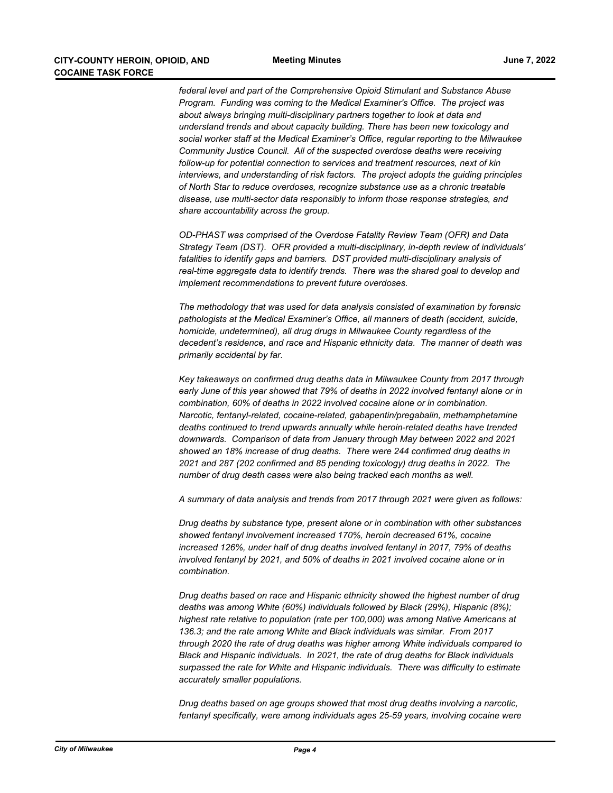*federal level and part of the Comprehensive Opioid Stimulant and Substance Abuse Program. Funding was coming to the Medical Examiner's Office. The project was about always bringing multi-disciplinary partners together to look at data and understand trends and about capacity building. There has been new toxicology and social worker staff at the Medical Examiner's Office, regular reporting to the Milwaukee Community Justice Council. All of the suspected overdose deaths were receiving follow-up for potential connection to services and treatment resources, next of kin interviews, and understanding of risk factors. The project adopts the guiding principles of North Star to reduce overdoses, recognize substance use as a chronic treatable disease, use multi-sector data responsibly to inform those response strategies, and share accountability across the group.*

*OD-PHAST was comprised of the Overdose Fatality Review Team (OFR) and Data Strategy Team (DST). OFR provided a multi-disciplinary, in-depth review of individuals' fatalities to identify gaps and barriers. DST provided multi-disciplinary analysis of real-time aggregate data to identify trends. There was the shared goal to develop and implement recommendations to prevent future overdoses.*

*The methodology that was used for data analysis consisted of examination by forensic pathologists at the Medical Examiner's Office, all manners of death (accident, suicide, homicide, undetermined), all drug drugs in Milwaukee County regardless of the decedent's residence, and race and Hispanic ethnicity data. The manner of death was primarily accidental by far.*

*Key takeaways on confirmed drug deaths data in Milwaukee County from 2017 through early June of this year showed that 79% of deaths in 2022 involved fentanyl alone or in combination, 60% of deaths in 2022 involved cocaine alone or in combination. Narcotic, fentanyl-related, cocaine-related, gabapentin/pregabalin, methamphetamine deaths continued to trend upwards annually while heroin-related deaths have trended downwards. Comparison of data from January through May between 2022 and 2021 showed an 18% increase of drug deaths. There were 244 confirmed drug deaths in 2021 and 287 (202 confirmed and 85 pending toxicology) drug deaths in 2022. The number of drug death cases were also being tracked each months as well.*

*A summary of data analysis and trends from 2017 through 2021 were given as follows:*

*Drug deaths by substance type, present alone or in combination with other substances showed fentanyl involvement increased 170%, heroin decreased 61%, cocaine increased 126%, under half of drug deaths involved fentanyl in 2017, 79% of deaths involved fentanyl by 2021, and 50% of deaths in 2021 involved cocaine alone or in combination.*

*Drug deaths based on race and Hispanic ethnicity showed the highest number of drug deaths was among White (60%) individuals followed by Black (29%), Hispanic (8%); highest rate relative to population (rate per 100,000) was among Native Americans at 136.3; and the rate among White and Black individuals was similar. From 2017 through 2020 the rate of drug deaths was higher among White individuals compared to Black and Hispanic individuals. In 2021, the rate of drug deaths for Black individuals surpassed the rate for White and Hispanic individuals. There was difficulty to estimate accurately smaller populations.*

*Drug deaths based on age groups showed that most drug deaths involving a narcotic, fentanyl specifically, were among individuals ages 25-59 years, involving cocaine were*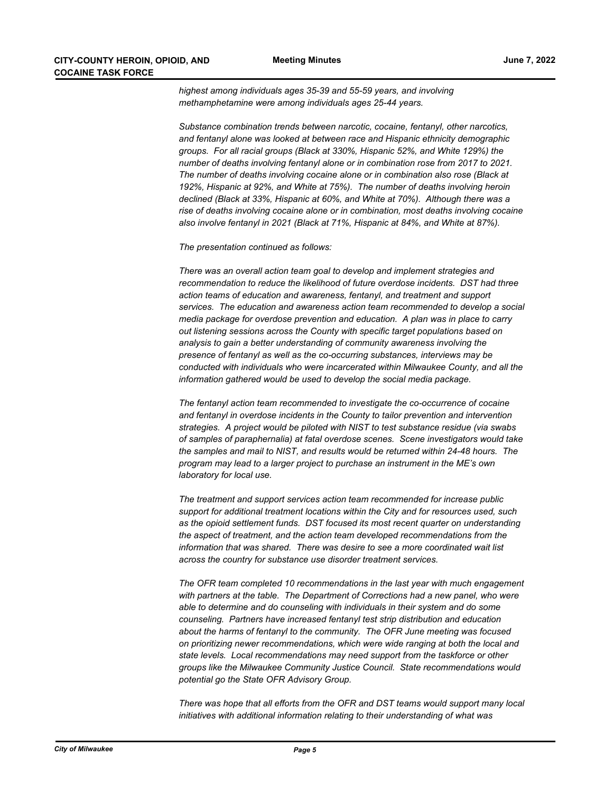*highest among individuals ages 35-39 and 55-59 years, and involving methamphetamine were among individuals ages 25-44 years.*

*Substance combination trends between narcotic, cocaine, fentanyl, other narcotics, and fentanyl alone was looked at between race and Hispanic ethnicity demographic groups. For all racial groups (Black at 330%, Hispanic 52%, and White 129%) the number of deaths involving fentanyl alone or in combination rose from 2017 to 2021. The number of deaths involving cocaine alone or in combination also rose (Black at 192%, Hispanic at 92%, and White at 75%). The number of deaths involving heroin declined (Black at 33%, Hispanic at 60%, and White at 70%). Although there was a rise of deaths involving cocaine alone or in combination, most deaths involving cocaine also involve fentanyl in 2021 (Black at 71%, Hispanic at 84%, and White at 87%).*

*The presentation continued as follows:*

*There was an overall action team goal to develop and implement strategies and recommendation to reduce the likelihood of future overdose incidents. DST had three action teams of education and awareness, fentanyl, and treatment and support services. The education and awareness action team recommended to develop a social media package for overdose prevention and education. A plan was in place to carry out listening sessions across the County with specific target populations based on analysis to gain a better understanding of community awareness involving the presence of fentanyl as well as the co-occurring substances, interviews may be conducted with individuals who were incarcerated within Milwaukee County, and all the information gathered would be used to develop the social media package.*

*The fentanyl action team recommended to investigate the co-occurrence of cocaine and fentanyl in overdose incidents in the County to tailor prevention and intervention strategies. A project would be piloted with NIST to test substance residue (via swabs of samples of paraphernalia) at fatal overdose scenes. Scene investigators would take the samples and mail to NIST, and results would be returned within 24-48 hours. The program may lead to a larger project to purchase an instrument in the ME's own laboratory for local use.* 

*The treatment and support services action team recommended for increase public support for additional treatment locations within the City and for resources used, such as the opioid settlement funds. DST focused its most recent quarter on understanding the aspect of treatment, and the action team developed recommendations from the information that was shared. There was desire to see a more coordinated wait list across the country for substance use disorder treatment services.*

*The OFR team completed 10 recommendations in the last year with much engagement*  with partners at the table. The Department of Corrections had a new panel, who were *able to determine and do counseling with individuals in their system and do some counseling. Partners have increased fentanyl test strip distribution and education about the harms of fentanyl to the community. The OFR June meeting was focused on prioritizing newer recommendations, which were wide ranging at both the local and state levels. Local recommendations may need support from the taskforce or other groups like the Milwaukee Community Justice Council. State recommendations would potential go the State OFR Advisory Group.*

*There was hope that all efforts from the OFR and DST teams would support many local initiatives with additional information relating to their understanding of what was*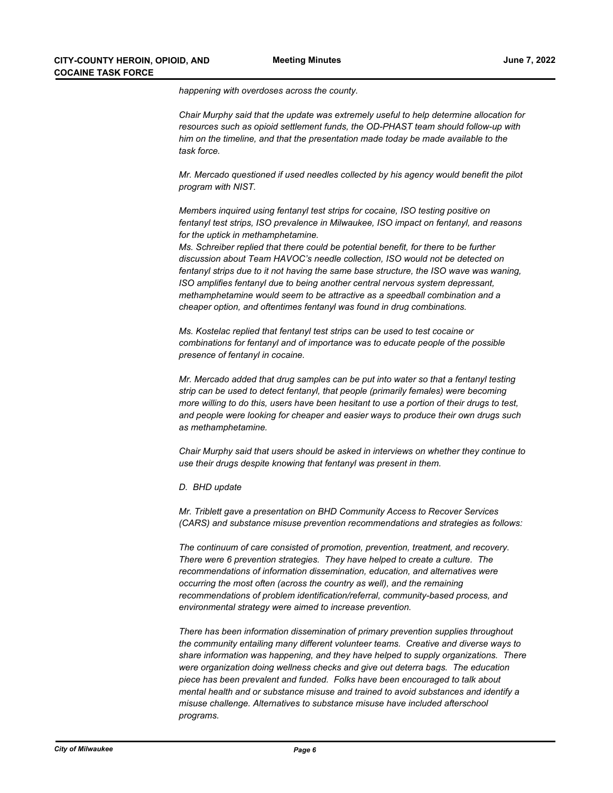*happening with overdoses across the county.*

*Chair Murphy said that the update was extremely useful to help determine allocation for resources such as opioid settlement funds, the OD-PHAST team should follow-up with him on the timeline, and that the presentation made today be made available to the task force.*

*Mr. Mercado questioned if used needles collected by his agency would benefit the pilot program with NIST.*

*Members inquired using fentanyl test strips for cocaine, ISO testing positive on fentanyl test strips, ISO prevalence in Milwaukee, ISO impact on fentanyl, and reasons for the uptick in methamphetamine.*

*Ms. Schreiber replied that there could be potential benefit, for there to be further discussion about Team HAVOC's needle collection, ISO would not be detected on fentanyl strips due to it not having the same base structure, the ISO wave was waning, ISO amplifies fentanyl due to being another central nervous system depressant, methamphetamine would seem to be attractive as a speedball combination and a cheaper option, and oftentimes fentanyl was found in drug combinations.*

*Ms. Kostelac replied that fentanyl test strips can be used to test cocaine or combinations for fentanyl and of importance was to educate people of the possible presence of fentanyl in cocaine.*

*Mr. Mercado added that drug samples can be put into water so that a fentanyl testing strip can be used to detect fentanyl, that people (primarily females) were becoming more willing to do this, users have been hesitant to use a portion of their drugs to test, and people were looking for cheaper and easier ways to produce their own drugs such as methamphetamine.*

*Chair Murphy said that users should be asked in interviews on whether they continue to use their drugs despite knowing that fentanyl was present in them.*

*D. BHD update* 

*Mr. Triblett gave a presentation on BHD Community Access to Recover Services (CARS) and substance misuse prevention recommendations and strategies as follows:*

*The continuum of care consisted of promotion, prevention, treatment, and recovery. There were 6 prevention strategies. They have helped to create a culture. The recommendations of information dissemination, education, and alternatives were occurring the most often (across the country as well), and the remaining recommendations of problem identification/referral, community-based process, and environmental strategy were aimed to increase prevention.* 

*There has been information dissemination of primary prevention supplies throughout the community entailing many different volunteer teams. Creative and diverse ways to share information was happening, and they have helped to supply organizations. There were organization doing wellness checks and give out deterra bags. The education piece has been prevalent and funded. Folks have been encouraged to talk about mental health and or substance misuse and trained to avoid substances and identify a misuse challenge. Alternatives to substance misuse have included afterschool programs.*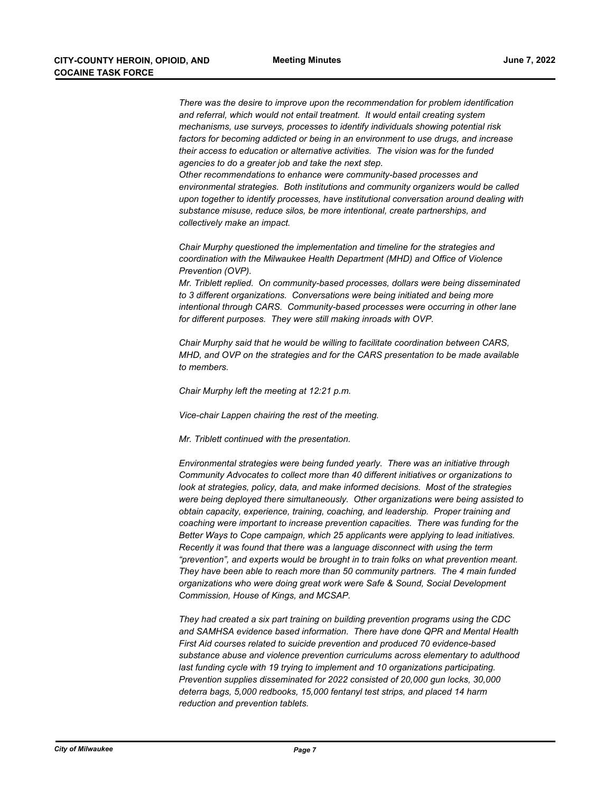*There was the desire to improve upon the recommendation for problem identification and referral, which would not entail treatment. It would entail creating system mechanisms, use surveys, processes to identify individuals showing potential risk factors for becoming addicted or being in an environment to use drugs, and increase their access to education or alternative activities. The vision was for the funded agencies to do a greater job and take the next step. Other recommendations to enhance were community-based processes and environmental strategies. Both institutions and community organizers would be called upon together to identify processes, have institutional conversation around dealing with* 

*Chair Murphy questioned the implementation and timeline for the strategies and coordination with the Milwaukee Health Department (MHD) and Office of Violence Prevention (OVP).*

*substance misuse, reduce silos, be more intentional, create partnerships, and* 

*Mr. Triblett replied. On community-based processes, dollars were being disseminated to 3 different organizations. Conversations were being initiated and being more intentional through CARS. Community-based processes were occurring in other lane for different purposes. They were still making inroads with OVP.*

*Chair Murphy said that he would be willing to facilitate coordination between CARS, MHD, and OVP on the strategies and for the CARS presentation to be made available to members.*

*Chair Murphy left the meeting at 12:21 p.m.*

*collectively make an impact.*

*Vice-chair Lappen chairing the rest of the meeting.*

*Mr. Triblett continued with the presentation.* 

*Environmental strategies were being funded yearly. There was an initiative through Community Advocates to collect more than 40 different initiatives or organizations to look at strategies, policy, data, and make informed decisions. Most of the strategies were being deployed there simultaneously. Other organizations were being assisted to obtain capacity, experience, training, coaching, and leadership. Proper training and coaching were important to increase prevention capacities. There was funding for the Better Ways to Cope campaign, which 25 applicants were applying to lead initiatives. Recently it was found that there was a language disconnect with using the term "prevention", and experts would be brought in to train folks on what prevention meant. They have been able to reach more than 50 community partners. The 4 main funded organizations who were doing great work were Safe & Sound, Social Development Commission, House of Kings, and MCSAP.* 

*They had created a six part training on building prevention programs using the CDC and SAMHSA evidence based information. There have done QPR and Mental Health First Aid courses related to suicide prevention and produced 70 evidence-based substance abuse and violence prevention curriculums across elementary to adulthood last funding cycle with 19 trying to implement and 10 organizations participating. Prevention supplies disseminated for 2022 consisted of 20,000 gun locks, 30,000 deterra bags, 5,000 redbooks, 15,000 fentanyl test strips, and placed 14 harm reduction and prevention tablets.*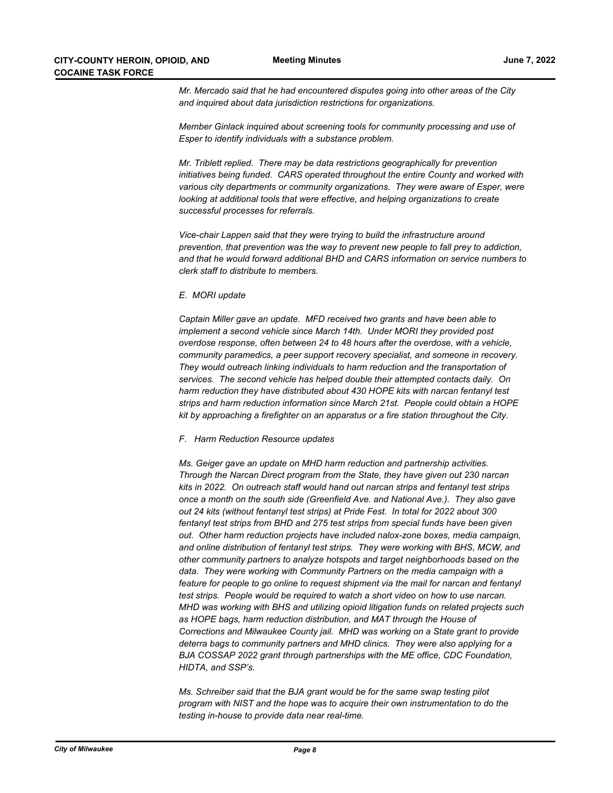*Mr. Mercado said that he had encountered disputes going into other areas of the City and inquired about data jurisdiction restrictions for organizations.*

*Member Ginlack inquired about screening tools for community processing and use of Esper to identify individuals with a substance problem.*

*Mr. Triblett replied. There may be data restrictions geographically for prevention initiatives being funded. CARS operated throughout the entire County and worked with various city departments or community organizations. They were aware of Esper, were looking at additional tools that were effective, and helping organizations to create successful processes for referrals.*

*Vice-chair Lappen said that they were trying to build the infrastructure around prevention, that prevention was the way to prevent new people to fall prey to addiction, and that he would forward additional BHD and CARS information on service numbers to clerk staff to distribute to members.*

#### *E. MORI update*

*Captain Miller gave an update. MFD received two grants and have been able to implement a second vehicle since March 14th. Under MORI they provided post overdose response, often between 24 to 48 hours after the overdose, with a vehicle, community paramedics, a peer support recovery specialist, and someone in recovery. They would outreach linking individuals to harm reduction and the transportation of services. The second vehicle has helped double their attempted contacts daily. On harm reduction they have distributed about 430 HOPE kits with narcan fentanyl test strips and harm reduction information since March 21st. People could obtain a HOPE kit by approaching a firefighter on an apparatus or a fire station throughout the City.*

#### *F. Harm Reduction Resource updates*

*Ms. Geiger gave an update on MHD harm reduction and partnership activities. Through the Narcan Direct program from the State, they have given out 230 narcan kits in 2022. On outreach staff would hand out narcan strips and fentanyl test strips once a month on the south side (Greenfield Ave. and National Ave.). They also gave out 24 kits (without fentanyl test strips) at Pride Fest. In total for 2022 about 300 fentanyl test strips from BHD and 275 test strips from special funds have been given out. Other harm reduction projects have included nalox-zone boxes, media campaign, and online distribution of fentanyl test strips. They were working with BHS, MCW, and other community partners to analyze hotspots and target neighborhoods based on the data. They were working with Community Partners on the media campaign with a feature for people to go online to request shipment via the mail for narcan and fentanyl test strips. People would be required to watch a short video on how to use narcan. MHD was working with BHS and utilizing opioid litigation funds on related projects such as HOPE bags, harm reduction distribution, and MAT through the House of Corrections and Milwaukee County jail. MHD was working on a State grant to provide deterra bags to community partners and MHD clinics. They were also applying for a BJA COSSAP 2022 grant through partnerships with the ME office, CDC Foundation, HIDTA, and SSP's.*

*Ms. Schreiber said that the BJA grant would be for the same swap testing pilot program with NIST and the hope was to acquire their own instrumentation to do the testing in-house to provide data near real-time.*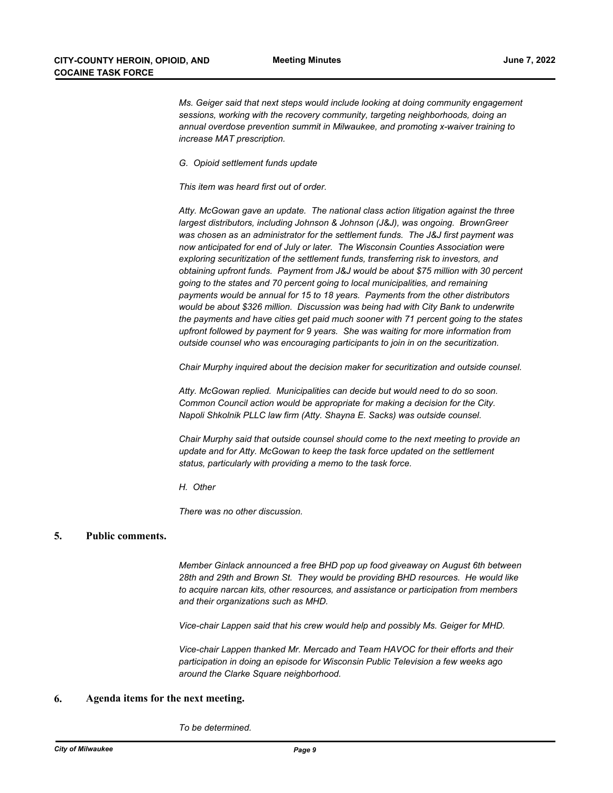*Ms. Geiger said that next steps would include looking at doing community engagement sessions, working with the recovery community, targeting neighborhoods, doing an annual overdose prevention summit in Milwaukee, and promoting x-waiver training to increase MAT prescription.*

*G. Opioid settlement funds update*

*This item was heard first out of order.*

*Atty. McGowan gave an update. The national class action litigation against the three largest distributors, including Johnson & Johnson (J&J), was ongoing. BrownGreer was chosen as an administrator for the settlement funds. The J&J first payment was now anticipated for end of July or later. The Wisconsin Counties Association were exploring securitization of the settlement funds, transferring risk to investors, and obtaining upfront funds. Payment from J&J would be about \$75 million with 30 percent going to the states and 70 percent going to local municipalities, and remaining payments would be annual for 15 to 18 years. Payments from the other distributors would be about \$326 million. Discussion was being had with City Bank to underwrite the payments and have cities get paid much sooner with 71 percent going to the states upfront followed by payment for 9 years. She was waiting for more information from outside counsel who was encouraging participants to join in on the securitization.*

*Chair Murphy inquired about the decision maker for securitization and outside counsel.*

*Atty. McGowan replied. Municipalities can decide but would need to do so soon. Common Council action would be appropriate for making a decision for the City. Napoli Shkolnik PLLC law firm (Atty. Shayna E. Sacks) was outside counsel.*

*Chair Murphy said that outside counsel should come to the next meeting to provide an update and for Atty. McGowan to keep the task force updated on the settlement status, particularly with providing a memo to the task force.*

*H. Other*

*There was no other discussion.*

## **5. Public comments.**

*Member Ginlack announced a free BHD pop up food giveaway on August 6th between 28th and 29th and Brown St. They would be providing BHD resources. He would like to acquire narcan kits, other resources, and assistance or participation from members and their organizations such as MHD.* 

*Vice-chair Lappen said that his crew would help and possibly Ms. Geiger for MHD.*

*Vice-chair Lappen thanked Mr. Mercado and Team HAVOC for their efforts and their participation in doing an episode for Wisconsin Public Television a few weeks ago around the Clarke Square neighborhood.*

### **6. Agenda items for the next meeting.**

*To be determined.*